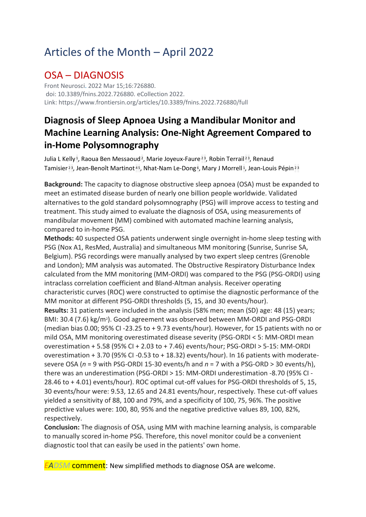# Articles of the Month – April 2022

### OSA – DIAGNOSIS

Front Neurosci. 2022 Mar 15;16:726880. doi: 10.3389/fnins.2022.726880. eCollection 2022. Link: https://www.frontiersin.org/articles/10.3389/fnins.2022.726880/full

### **Diagnosis of Sleep Apnoea Using a Mandibular Monitor and Machine Learning Analysis: One-Night Agreement Compared to in-Home Polysomnography**

[Julia L Kelly](https://pubmed.ncbi.nlm.nih.gov/?sort=date&size=100&term=Kelly+JL&cauthor_id=35368281)<sup>1</sup>[,](https://pubmed.ncbi.nlm.nih.gov/35368281/#affiliation-3) [Raoua Ben Messaoud](https://pubmed.ncbi.nlm.nih.gov/?sort=date&size=100&term=Ben+Messaoud+R&cauthor_id=35368281)<sup>2</sup>, [Marie Joyeux-Faure](https://pubmed.ncbi.nlm.nih.gov/?sort=date&size=100&term=Joyeux-Faure+M&cauthor_id=35368281)<sup>[2](https://pubmed.ncbi.nlm.nih.gov/35368281/#affiliation-2)3</sup>, [Robin Terrail](https://pubmed.ncbi.nlm.nih.gov/?sort=date&size=100&term=Terrail+R&cauthor_id=35368281)<sup>23</sup>, Renaud [Tamisier](https://pubmed.ncbi.nlm.nih.gov/?sort=date&size=100&term=Tamisier+R&cauthor_id=35368281)<sup>[2](https://pubmed.ncbi.nlm.nih.gov/35368281/#affiliation-2)3</sup>[,](https://pubmed.ncbi.nlm.nih.gov/35368281/#affiliation-1) [Jean-Benoît Martinot](https://pubmed.ncbi.nlm.nih.gov/?sort=date&size=100&term=Martinot+JB&cauthor_id=35368281)<sup>[4](https://pubmed.ncbi.nlm.nih.gov/35368281/#affiliation-4)5</sup>, [Nhat-Nam Le-Dong](https://pubmed.ncbi.nlm.nih.gov/?sort=date&size=100&term=Le-Dong+NN&cauthor_id=35368281)<sup>6</sup>, [Mary J Morrell](https://pubmed.ncbi.nlm.nih.gov/?sort=date&size=100&term=Morrell+MJ&cauthor_id=35368281)<sup>1</sup>, [Jean-Louis Pépin](https://pubmed.ncbi.nlm.nih.gov/?sort=date&size=100&term=P%C3%A9pin+JL&cauthor_id=35368281)<sup>2[3](https://pubmed.ncbi.nlm.nih.gov/35368281/#affiliation-3)</sup>

**Background:** The capacity to diagnose obstructive sleep apnoea (OSA) must be expanded to meet an estimated disease burden of nearly one billion people worldwide. Validated alternatives to the gold standard polysomnography (PSG) will improve access to testing and treatment. This study aimed to evaluate the diagnosis of OSA, using measurements of mandibular movement (MM) combined with automated machine learning analysis, compared to in-home PSG.

**Methods:** 40 suspected OSA patients underwent single overnight in-home sleep testing with PSG (Nox A1, ResMed, Australia) and simultaneous MM monitoring (Sunrise, Sunrise SA, Belgium). PSG recordings were manually analysed by two expert sleep centres (Grenoble and London); MM analysis was automated. The Obstructive Respiratory Disturbance Index calculated from the MM monitoring (MM-ORDI) was compared to the PSG (PSG-ORDI) using intraclass correlation coefficient and Bland-Altman analysis. Receiver operating characteristic curves (ROC) were constructed to optimise the diagnostic performance of the MM monitor at different PSG-ORDI thresholds (5, 15, and 30 events/hour). **Results:** 31 patients were included in the analysis (58% men; mean (SD) age: 48 (15) years; BMI: 30.4 (7.6) kg/m2). Good agreement was observed between MM-ORDI and PSG-ORDI (median bias 0.00; 95% CI -23.25 to + 9.73 events/hour). However, for 15 patients with no or mild OSA, MM monitoring overestimated disease severity (PSG-ORDI < 5: MM-ORDI mean overestimation + 5.58 (95% CI + 2.03 to + 7.46) events/hour; PSG-ORDI > 5-15: MM-ORDI overestimation + 3.70 (95% CI -0.53 to + 18.32) events/hour). In 16 patients with moderatesevere OSA (*n* = 9 with PSG-ORDI 15-30 events/h and *n* = 7 with a PSG-ORD > 30 events/h), there was an underestimation (PSG-ORDI > 15: MM-ORDI underestimation -8.70 (95% CI - 28.46 to + 4.01) events/hour). ROC optimal cut-off values for PSG-ORDI thresholds of 5, 15, 30 events/hour were: 9.53, 12.65 and 24.81 events/hour, respectively. These cut-off values yielded a sensitivity of 88, 100 and 79%, and a specificity of 100, 75, 96%. The positive predictive values were: 100, 80, 95% and the negative predictive values 89, 100, 82%, respectively.

**Conclusion:** The diagnosis of OSA, using MM with machine learning analysis, is comparable to manually scored in-home PSG. Therefore, this novel monitor could be a convenient diagnostic tool that can easily be used in the patients' own home.

*EADSM* comment: New simplified methods to diagnose OSA are welcome.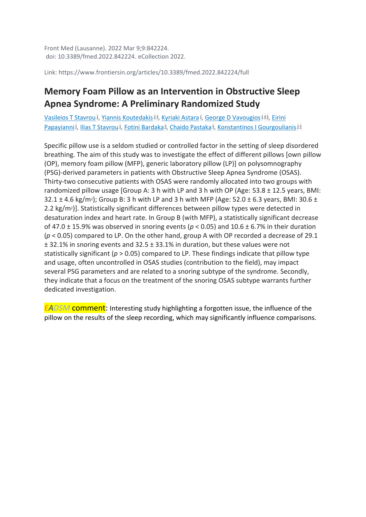Front Med (Lausanne). 2022 Mar 9;9:842224. doi: 10.3389/fmed.2022.842224. eCollection 2022.

Link: https://www.frontiersin.org/articles/10.3389/fmed.2022.842224/full

### **Memory Foam Pillow as an Intervention in Obstructive Sleep Apnea Syndrome: A Preliminary Randomized Study**

[Vasileios T Stavrou](https://pubmed.ncbi.nlm.nih.gov/?sort=date&size=100&term=Stavrou+VT&cauthor_id=35372428)<sup>1</sup>[,](https://pubmed.ncbi.nlm.nih.gov/35372428/#affiliation-5) [Yiannis Koutedakis](https://pubmed.ncbi.nlm.nih.gov/?sort=date&size=100&term=Koutedakis+Y&cauthor_id=35372428)<sup>[2](https://pubmed.ncbi.nlm.nih.gov/35372428/#affiliation-2)3</sup>, [Kyriaki Astara](https://pubmed.ncbi.nlm.nih.gov/?sort=date&size=100&term=Astara+K&cauthor_id=35372428)<sup>1</sup>, [George D Vavougios](https://pubmed.ncbi.nlm.nih.gov/?sort=date&size=100&term=Vavougios+GD&cauthor_id=35372428)<sup>[1](https://pubmed.ncbi.nlm.nih.gov/35372428/#affiliation-1)[4](https://pubmed.ncbi.nlm.nih.gov/35372428/#affiliation-4)5</sup>, Eirini [Papayianni](https://pubmed.ncbi.nlm.nih.gov/?sort=date&size=100&term=Papayianni+E&cauthor_id=35372428)<sup>1</sup>[,](https://pubmed.ncbi.nlm.nih.gov/35372428/#affiliation-5) [Ilias T Stavrou](https://pubmed.ncbi.nlm.nih.gov/?sort=date&size=100&term=Stavrou+IT&cauthor_id=35372428)<sup>1</sup>, [Fotini Bardaka](https://pubmed.ncbi.nlm.nih.gov/?sort=date&size=100&term=Bardaka+F&cauthor_id=35372428)<sup>5</sup>, [Chaido Pastaka](https://pubmed.ncbi.nlm.nih.gov/?sort=date&size=100&term=Pastaka+C&cauthor_id=35372428)<sup>5</sup>, [Konstantinos I Gourgoulianis](https://pubmed.ncbi.nlm.nih.gov/?sort=date&size=100&term=Gourgoulianis+KI&cauthor_id=35372428)<sup>[1](https://pubmed.ncbi.nlm.nih.gov/35372428/#affiliation-1)[5](https://pubmed.ncbi.nlm.nih.gov/35372428/#affiliation-5)</sup>

Specific pillow use is a seldom studied or controlled factor in the setting of sleep disordered breathing. The aim of this study was to investigate the effect of different pillows [own pillow (OP), memory foam pillow (MFP), generic laboratory pillow (LP)] on polysomnography (PSG)-derived parameters in patients with Obstructive Sleep Apnea Syndrome (OSAS). Thirty-two consecutive patients with OSAS were randomly allocated into two groups with randomized pillow usage [Group A: 3 h with LP and 3 h with OP (Age:  $53.8 \pm 12.5$  years, BMI: 32.1  $\pm$  4.6 kg/m<sup>2</sup>); Group B: 3 h with LP and 3 h with MFP (Age: 52.0  $\pm$  6.3 years, BMI: 30.6  $\pm$ 2.2 kg/m2)]. Statistically significant differences between pillow types were detected in desaturation index and heart rate. In Group B (with MFP), a statistically significant decrease of 47.0  $\pm$  15.9% was observed in snoring events ( $p$  < 0.05) and 10.6  $\pm$  6.7% in their duration (*p* < 0.05) compared to LP. On the other hand, group A with OP recorded a decrease of 29.1 ± 32.1% in snoring events and 32.5 ± 33.1% in duration, but these values were not statistically significant (*p* > 0.05) compared to LP. These findings indicate that pillow type and usage, often uncontrolled in OSAS studies (contribution to the field), may impact several PSG parameters and are related to a snoring subtype of the syndrome. Secondly, they indicate that a focus on the treatment of the snoring OSAS subtype warrants further dedicated investigation.

*EADSM* comment: Interesting study highlighting a forgotten issue, the influence of the pillow on the results of the sleep recording, which may significantly influence comparisons.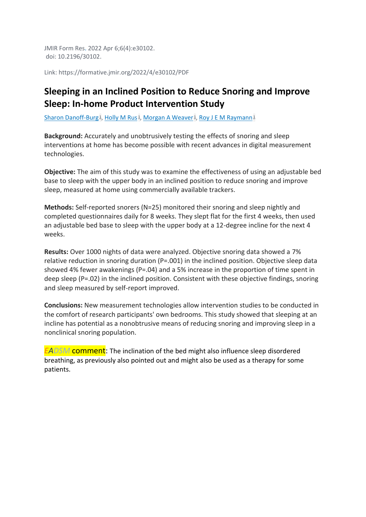JMIR Form Res. 2022 Apr 6;6(4):e30102. doi: 10.2196/30102.

Link: https://formative.jmir.org/2022/4/e30102/PDF

### **Sleeping in an Inclined Position to Reduce Snoring and Improve Sleep: In-home Product Intervention Study**

[Sharon Danoff-Burg](https://pubmed.ncbi.nlm.nih.gov/?sort=date&size=100&term=Danoff-Burg+S&cauthor_id=35384849)<sup>1</sup>[,](https://pubmed.ncbi.nlm.nih.gov/35384849/#affiliation-1) [Holly M Rus](https://pubmed.ncbi.nlm.nih.gov/?sort=date&size=100&term=Rus+HM&cauthor_id=35384849)<sup>1</sup>, [Morgan A Weaver](https://pubmed.ncbi.nlm.nih.gov/?sort=date&size=100&term=Weaver+MA&cauthor_id=35384849)<sup>1</sup>, [Roy J E M Raymann](https://pubmed.ncbi.nlm.nih.gov/?sort=date&size=100&term=Raymann+RJEM&cauthor_id=35384849)<sup>[1](https://pubmed.ncbi.nlm.nih.gov/35384849/#affiliation-1)</sup>

**Background:** Accurately and unobtrusively testing the effects of snoring and sleep interventions at home has become possible with recent advances in digital measurement technologies.

**Objective:** The aim of this study was to examine the effectiveness of using an adjustable bed base to sleep with the upper body in an inclined position to reduce snoring and improve sleep, measured at home using commercially available trackers.

**Methods:** Self-reported snorers (N=25) monitored their snoring and sleep nightly and completed questionnaires daily for 8 weeks. They slept flat for the first 4 weeks, then used an adjustable bed base to sleep with the upper body at a 12-degree incline for the next 4 weeks.

**Results:** Over 1000 nights of data were analyzed. Objective snoring data showed a 7% relative reduction in snoring duration (P=.001) in the inclined position. Objective sleep data showed 4% fewer awakenings (P=.04) and a 5% increase in the proportion of time spent in deep sleep (P=.02) in the inclined position. Consistent with these objective findings, snoring and sleep measured by self-report improved.

**Conclusions:** New measurement technologies allow intervention studies to be conducted in the comfort of research participants' own bedrooms. This study showed that sleeping at an incline has potential as a nonobtrusive means of reducing snoring and improving sleep in a nonclinical snoring population.

*EADSM* comment: The inclination of the bed might also influence sleep disordered breathing, as previously also pointed out and might also be used as a therapy for some patients.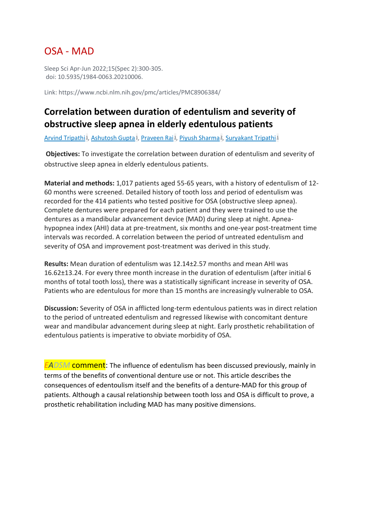### OSA - MAD

Sleep Sci Apr-Jun 2022;15(Spec 2):300-305. doi: 10.5935/1984-0063.20210006.

Link: https://www.ncbi.nlm.nih.gov/pmc/articles/PMC8906384/

### **Correlation between duration of edentulism and severity of obstructive sleep apnea in elderly edentulous patients**

<u>[Arvind Tripathi](https://pubmed.ncbi.nlm.nih.gov/?sort=date&size=100&term=Tripathi+A&cauthor_id=35371399) 1[,](https://pubmed.ncbi.nlm.nih.gov/35371399/#affiliation-2) [Ashutosh Gupta](https://pubmed.ncbi.nlm.nih.gov/?sort=date&size=100&term=Gupta+A&cauthor_id=35371399) 1, [Praveen Rai](https://pubmed.ncbi.nlm.nih.gov/?sort=date&size=100&term=Rai+P&cauthor_id=35371399) 1, [Piyush Sharma](https://pubmed.ncbi.nlm.nih.gov/?sort=date&size=100&term=Sharma+P&cauthor_id=35371399) 2, [Suryakant Tripathi](https://pubmed.ncbi.nlm.nih.gov/?sort=date&size=100&term=Tripathi+S&cauthor_id=35371399) [1](https://pubmed.ncbi.nlm.nih.gov/35371399/#affiliation-1)</u>

**Objectives:** To investigate the correlation between duration of edentulism and severity of obstructive sleep apnea in elderly edentulous patients.

**Material and methods:** 1,017 patients aged 55-65 years, with a history of edentulism of 12- 60 months were screened. Detailed history of tooth loss and period of edentulism was recorded for the 414 patients who tested positive for OSA (obstructive sleep apnea). Complete dentures were prepared for each patient and they were trained to use the dentures as a mandibular advancement device (MAD) during sleep at night. Apneahypopnea index (AHI) data at pre-treatment, six months and one-year post-treatment time intervals was recorded. A correlation between the period of untreated edentulism and severity of OSA and improvement post-treatment was derived in this study.

**Results:** Mean duration of edentulism was 12.14±2.57 months and mean AHI was 16.62±13.24. For every three month increase in the duration of edentulism (after initial 6 months of total tooth loss), there was a statistically significant increase in severity of OSA. Patients who are edentulous for more than 15 months are increasingly vulnerable to OSA.

**Discussion:** Severity of OSA in afflicted long-term edentulous patients was in direct relation to the period of untreated edentulism and regressed likewise with concomitant denture wear and mandibular advancement during sleep at night. Early prosthetic rehabilitation of edentulous patients is imperative to obviate morbidity of OSA.

*EADSM* comment: The influence of edentulism has been discussed previously, mainly in terms of the benefits of conventional denture use or not. This article describes the consequences of edentoulism itself and the benefits of a denture-MAD for this group of patients. Although a causal relationship between tooth loss and OSA is difficult to prove, a prosthetic rehabilitation including MAD has many positive dimensions.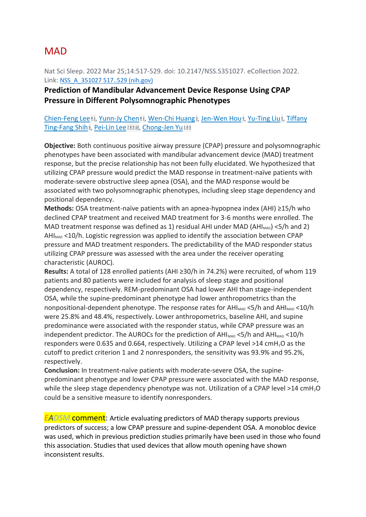### **MAD**

Nat Sci Sleep. 2022 Mar 25;14:517-529. doi: 10.2147/NSS.S351027. eCollection 2022. Link: [NSS\\_A\\_351027 517..529 \(nih.gov\)](https://www.ncbi.nlm.nih.gov/pmc/articles/PMC8965013/pdf/nss-14-517.pdf)

### **Prediction of Mandibular Advancement Device Response Using CPAP Pressure in Different Polysomnographic Phenotypes**

#### [Chien-Feng Lee](https://pubmed.ncbi.nlm.nih.gov/?sort=date&size=200&term=Lee+CF&cauthor_id=35369531) [#](https://pubmed.ncbi.nlm.nih.gov/35369531/#equal-contrib-explanation)1[,](https://pubmed.ncbi.nlm.nih.gov/35369531/#affiliation-5) [Yunn-Jy Chen](https://pubmed.ncbi.nlm.nih.gov/?sort=date&size=200&term=Chen+YJ&cauthor_id=35369531) #2, [Wen-Chi Huang](https://pubmed.ncbi.nlm.nih.gov/?sort=date&size=200&term=Huang+WC&cauthor_id=35369531)<sup>3</sup>, [Jen-Wen Hou](https://pubmed.ncbi.nlm.nih.gov/?sort=date&size=200&term=Hou+JW&cauthor_id=35369531)<sup>4</sup>, [Yu-Ting Liu](https://pubmed.ncbi.nlm.nih.gov/?sort=date&size=200&term=Liu+YT&cauthor_id=35369531)<sup>5</sup>, Tiffany [Ting-Fang Shih](https://pubmed.ncbi.nlm.nih.gov/?sort=date&size=200&term=Shih+TT&cauthor_id=35369531)َs[,](https://pubmed.ncbi.nlm.nih.gov/35369531/#affiliation-6) [Pei-Lin Lee](https://pubmed.ncbi.nlm.nih.gov/?sort=date&size=200&term=Lee+PL&cauthor_id=35369531) 2[8](https://pubmed.ncbi.nlm.nih.gov/35369531/#affiliation-8)[9](https://pubmed.ncbi.nlm.nih.gov/35369531/#affiliation-9)[10](https://pubmed.ncbi.nlm.nih.gov/35369531/#affiliation-10), [Chong-Jen Yu](https://pubmed.ncbi.nlm.nih.gov/?sort=date&size=200&term=Yu+CJ&cauthor_id=35369531) [1](https://pubmed.ncbi.nlm.nih.gov/35369531/#affiliation-1)89

**Objective:** Both continuous positive airway pressure (CPAP) pressure and polysomnographic phenotypes have been associated with mandibular advancement device (MAD) treatment response, but the precise relationship has not been fully elucidated. We hypothesized that utilizing CPAP pressure would predict the MAD response in treatment-naïve patients with moderate-severe obstructive sleep apnea (OSA), and the MAD response would be associated with two polysomnographic phenotypes, including sleep stage dependency and positional dependency.

**Methods:** OSA treatment-naïve patients with an apnea-hypopnea index (AHI) ≥15/h who declined CPAP treatment and received MAD treatment for 3-6 months were enrolled. The MAD treatment response was defined as 1) residual AHI under MAD (AHI<sub>MAD</sub>) <5/h and 2) AH $I_{MAD}$  <10/h. Logistic regression was applied to identify the association between CPAP pressure and MAD treatment responders. The predictability of the MAD responder status utilizing CPAP pressure was assessed with the area under the receiver operating characteristic (AUROC).

**Results:** A total of 128 enrolled patients (AHI ≥30/h in 74.2%) were recruited, of whom 119 patients and 80 patients were included for analysis of sleep stage and positional dependency, respectively. REM-predominant OSA had lower AHI than stage-independent OSA, while the supine-predominant phenotype had lower anthropometrics than the nonpositional-dependent phenotype. The response rates for  $AH_{MAD}$  <5/h and  $AH_{MAD}$  <10/h were 25.8% and 48.4%, respectively. Lower anthropometrics, baseline AHI, and supine predominance were associated with the responder status, while CPAP pressure was an independent predictor. The AUROCs for the prediction of  $AH_{MAD}$  <5/h and  $AH_{MAD}$  <10/h responders were 0.635 and 0.664, respectively. Utilizing a CPAP level >14 cmH2O as the cutoff to predict criterion 1 and 2 nonresponders, the sensitivity was 93.9% and 95.2%, respectively.

**Conclusion:** In treatment-naïve patients with moderate-severe OSA, the supinepredominant phenotype and lower CPAP pressure were associated with the MAD response, while the sleep stage dependency phenotype was not. Utilization of a CPAP level >14 cmH<sub>2</sub>O could be a sensitive measure to identify nonresponders.

*EADSM* comment: Article evaluating predictors of MAD therapy supports previous predictors of success; a low CPAP pressure and supine-dependent OSA. A monobloc device was used, which in previous prediction studies primarily have been used in those who found this association. Studies that used devices that allow mouth opening have shown inconsistent results.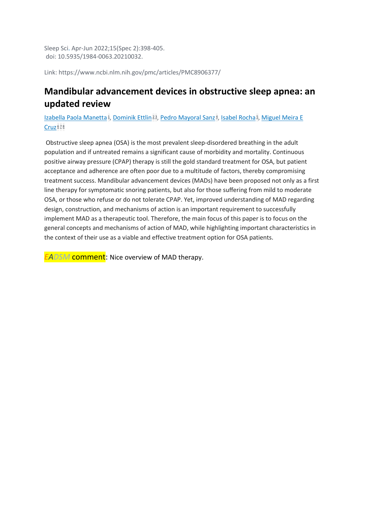Sleep Sci. Apr-Jun 2022;15(Spec 2):398-405. doi: 10.5935/1984-0063.20210032.

Link: https://www.ncbi.nlm.nih.gov/pmc/articles/PMC8906377/

### **Mandibular advancement devices in obstructive sleep apnea: an updated review**

[Izabella Paola Manetta](https://pubmed.ncbi.nlm.nih.gov/?sort=date&size=100&term=Manetta+IP&cauthor_id=35371398)<sup>1</sup>[,](https://pubmed.ncbi.nlm.nih.gov/35371398/#affiliation-5) [Dominik Ettlin](https://pubmed.ncbi.nlm.nih.gov/?sort=date&size=100&term=Ettlin+D&cauthor_id=35371398)<sup>[2](https://pubmed.ncbi.nlm.nih.gov/35371398/#affiliation-2)3</sup>, [Pedro Mayoral Sanz](https://pubmed.ncbi.nlm.nih.gov/?sort=date&size=100&term=Sanz+PM&cauthor_id=35371398)<sup>4</sup>, [Isabel Rocha](https://pubmed.ncbi.nlm.nih.gov/?sort=date&size=100&term=Rocha+I&cauthor_id=35371398)<sup>5</sup>, Miguel Meira E  $Cruz$ <sup> $678$  $678$  $678$ </sup>

Obstructive sleep apnea (OSA) is the most prevalent sleep-disordered breathing in the adult population and if untreated remains a significant cause of morbidity and mortality. Continuous positive airway pressure (CPAP) therapy is still the gold standard treatment for OSA, but patient acceptance and adherence are often poor due to a multitude of factors, thereby compromising treatment success. Mandibular advancement devices (MADs) have been proposed not only as a first line therapy for symptomatic snoring patients, but also for those suffering from mild to moderate OSA, or those who refuse or do not tolerate CPAP. Yet, improved understanding of MAD regarding design, construction, and mechanisms of action is an important requirement to successfully implement MAD as a therapeutic tool. Therefore, the main focus of this paper is to focus on the general concepts and mechanisms of action of MAD, while highlighting important characteristics in the context of their use as a viable and effective treatment option for OSA patients.

*EADSM* comment: Nice overview of MAD therapy.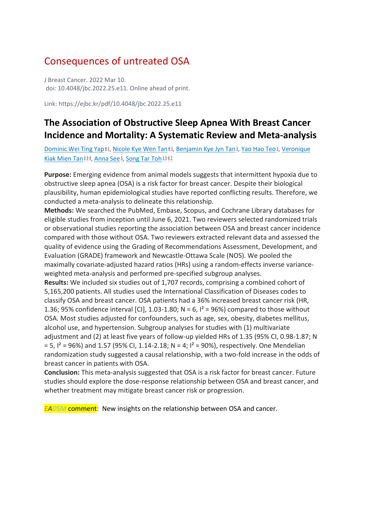## Consequences of untreated OSA

J Breast Cancer. 2022 Mar 10. doi: 10.4048/jbc.2022.25.e11. Online ahead of print.

Link: https://ejbc.kr/pdf/10.4048/jbc.2022.25.e11

### **The Association of Obstructive Sleep Apnea With Breast Cancer Incidence and Mortality: A Systematic Review and Meta-analysis**

[Dominic Wei Ting Yap](https://pubmed.ncbi.nlm.nih.gov/?sort=date&size=100&term=Yap+DWT&cauthor_id=35380020)<sup>[#](https://pubmed.ncbi.nlm.nih.gov/35380020/#equal-contrib-explanation)1</sup>[,](https://pubmed.ncbi.nlm.nih.gov/35380020/#affiliation-1) [Nicole Kye Wen Tan](https://pubmed.ncbi.nlm.nih.gov/?sort=date&size=100&term=Tan+NKW&cauthor_id=35380020)<sup>#1</sup>, [Benjamin Kye Jyn Tan](https://pubmed.ncbi.nlm.nih.gov/?sort=date&size=100&term=Tan+BKJ&cauthor_id=35380020)<sup>1</sup>, [Yao Hao Teo](https://pubmed.ncbi.nlm.nih.gov/?sort=date&size=100&term=Teo+YH&cauthor_id=35380020)<sup>1</sup>, Veronique [Kiak Mien Tan](https://pubmed.ncbi.nlm.nih.gov/?sort=date&size=100&term=Tan+VKM&cauthor_id=35380020)<sup>[2](https://pubmed.ncbi.nlm.nih.gov/35380020/#affiliation-2)[3](https://pubmed.ncbi.nlm.nih.gov/35380020/#affiliation-3)4</sup>[,](https://pubmed.ncbi.nlm.nih.gov/35380020/#affiliation-5) [Anna See](https://pubmed.ncbi.nlm.nih.gov/?sort=date&size=100&term=See+A&cauthor_id=35380020)<sup>5</sup>, [Song Tar Toh](https://pubmed.ncbi.nlm.nih.gov/?sort=date&size=100&term=Toh+ST&cauthor_id=35380020)<sup>[1](https://pubmed.ncbi.nlm.nih.gov/35380020/#affiliation-1)[5](https://pubmed.ncbi.nlm.nih.gov/35380020/#affiliation-5)[6](https://pubmed.ncbi.nlm.nih.gov/35380020/#affiliation-6)2</sup>

**Purpose:** Emerging evidence from animal models suggests that intermittent hypoxia due to obstructive sleep apnea (OSA) is a risk factor for breast cancer. Despite their biological plausibility, human epidemiological studies have reported conflicting results. Therefore, we conducted a meta-analysis to delineate this relationship.

**Methods:** We searched the PubMed, Embase, Scopus, and Cochrane Library databases for eligible studies from inception until June 6, 2021. Two reviewers selected randomized trials or observational studies reporting the association between OSA and breast cancer incidence compared with those without OSA. Two reviewers extracted relevant data and assessed the quality of evidence using the Grading of Recommendations Assessment, Development, and Evaluation (GRADE) framework and Newcastle-Ottawa Scale (NOS). We pooled the maximally covariate-adjusted hazard ratios (HRs) using a random-effects inverse varianceweighted meta-analysis and performed pre-specified subgroup analyses.

**Results:** We included six studies out of 1,707 records, comprising a combined cohort of 5,165,200 patients. All studies used the International Classification of Diseases codes to classify OSA and breast cancer. OSA patients had a 36% increased breast cancer risk (HR, 1.36; 95% confidence interval [CI], 1.03-1.80; N = 6,  $I^2$  = 96%) compared to those without OSA. Most studies adjusted for confounders, such as age, sex, obesity, diabetes mellitus, alcohol use, and hypertension. Subgroup analyses for studies with (1) multivariate adjustment and (2) at least five years of follow-up yielded HRs of 1.35 (95% CI, 0.98-1.87; N  $= 5$ ,  $I^2 = 96\%$ ) and 1.57 (95% CI, 1.14-2.18; N = 4;  $I^2 = 90\%$ ), respectively. One Mendelian randomization study suggested a causal relationship, with a two-fold increase in the odds of breast cancer in patients with OSA.

**Conclusion:** This meta-analysis suggested that OSA is a risk factor for breast cancer. Future studies should explore the dose-response relationship between OSA and breast cancer, and whether treatment may mitigate breast cancer risk or progression.

*EADSM* comment: New insights on the relationship between OSA and cancer.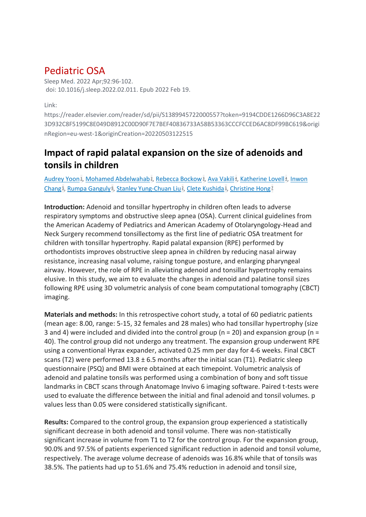### Pediatric OSA

Sleep Med. 2022 Apr;92:96-102. doi: 10.1016/j.sleep.2022.02.011. Epub 2022 Feb 19.

Link:

https://reader.elsevier.com/reader/sd/pii/S1389945722000557?token=9194CDDE1266D96C3A8E22 3D932C8F5199C8E049D8912C00D90F7E7BEF40836733A58B53363CCCFCCED6AC8DF99BC619&origi nRegion=eu-west-1&originCreation=20220503122515

### **Impact of rapid palatal expansion on the size of adenoids and tonsils in children**

[Audrey Yoon](https://pubmed.ncbi.nlm.nih.gov/?sort=date&size=100&term=Yoon+A&cauthor_id=35390750)<sup>1</sup>[,](https://pubmed.ncbi.nlm.nih.gov/35390750/#affiliation-4) [Mohamed Abdelwahab](https://pubmed.ncbi.nlm.nih.gov/?sort=date&size=100&term=Abdelwahab+M&cauthor_id=35390750)<sup>2</sup>, [Rebecca Bockow](https://pubmed.ncbi.nlm.nih.gov/?sort=date&size=100&term=Bockow+R&cauthor_id=35390750)<sup>3</sup>, [Ava Vakili](https://pubmed.ncbi.nlm.nih.gov/?sort=date&size=100&term=Vakili+A&cauthor_id=35390750)<sup>4</sup>, [Katherine Lovell](https://pubmed.ncbi.nlm.nih.gov/?sort=date&size=100&term=Lovell+K&cauthor_id=35390750)<sup>4</sup>, Inwon [Chang](https://pubmed.ncbi.nlm.nih.gov/?sort=date&size=100&term=Chang+I&cauthor_id=35390750)<sup>5</sup>[,](https://pubmed.ncbi.nlm.nih.gov/35390750/#affiliation-1) [Rumpa Ganguly](https://pubmed.ncbi.nlm.nih.gov/?sort=date&size=100&term=Ganguly+R&cauthor_id=35390750)<sup>6</sup>, [Stanley Yung-Chuan Liu](https://pubmed.ncbi.nlm.nih.gov/?sort=date&size=100&term=Liu+SY&cauthor_id=35390750)<sup>2</sup>, [Clete Kushida](https://pubmed.ncbi.nlm.nih.gov/?sort=date&size=100&term=Kushida+C&cauthor_id=35390750)<sup>1</sup>, [Christine Hong](https://pubmed.ncbi.nlm.nih.gov/?sort=date&size=100&term=Hong+C&cauthor_id=35390750)<sup>[7](https://pubmed.ncbi.nlm.nih.gov/35390750/#affiliation-7)</sup>

**Introduction:** Adenoid and tonsillar hypertrophy in children often leads to adverse respiratory symptoms and obstructive sleep apnea (OSA). Current clinical guidelines from the American Academy of Pediatrics and American Academy of Otolaryngology-Head and Neck Surgery recommend tonsillectomy as the first line of pediatric OSA treatment for children with tonsillar hypertrophy. Rapid palatal expansion (RPE) performed by orthodontists improves obstructive sleep apnea in children by reducing nasal airway resistance, increasing nasal volume, raising tongue posture, and enlarging pharyngeal airway. However, the role of RPE in alleviating adenoid and tonsillar hypertrophy remains elusive. In this study, we aim to evaluate the changes in adenoid and palatine tonsil sizes following RPE using 3D volumetric analysis of cone beam computational tomography (CBCT) imaging.

**Materials and methods:** In this retrospective cohort study, a total of 60 pediatric patients (mean age: 8.00, range: 5-15, 32 females and 28 males) who had tonsillar hypertrophy (size 3 and 4) were included and divided into the control group ( $n = 20$ ) and expansion group ( $n =$ 40). The control group did not undergo any treatment. The expansion group underwent RPE using a conventional Hyrax expander, activated 0.25 mm per day for 4-6 weeks. Final CBCT scans (T2) were performed  $13.8 \pm 6.5$  months after the initial scan (T1). Pediatric sleep questionnaire (PSQ) and BMI were obtained at each timepoint. Volumetric analysis of adenoid and palatine tonsils was performed using a combination of bony and soft tissue landmarks in CBCT scans through Anatomage Invivo 6 imaging software. Paired t-tests were used to evaluate the difference between the initial and final adenoid and tonsil volumes. p values less than 0.05 were considered statistically significant.

**Results:** Compared to the control group, the expansion group experienced a statistically significant decrease in both adenoid and tonsil volume. There was non-statistically significant increase in volume from T1 to T2 for the control group. For the expansion group, 90.0% and 97.5% of patients experienced significant reduction in adenoid and tonsil volume, respectively. The average volume decrease of adenoids was 16.8% while that of tonsils was 38.5%. The patients had up to 51.6% and 75.4% reduction in adenoid and tonsil size,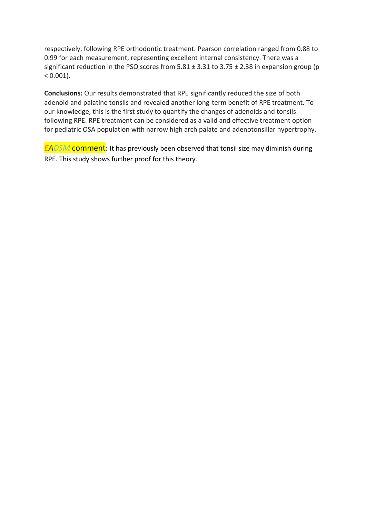respectively, following RPE orthodontic treatment. Pearson correlation ranged from 0.88 to 0.99 for each measurement, representing excellent internal consistency. There was a significant reduction in the PSQ scores from  $5.81 \pm 3.31$  to  $3.75 \pm 2.38$  in expansion group (p  $< 0.001$ ).

**Conclusions:** Our results demonstrated that RPE significantly reduced the size of both adenoid and palatine tonsils and revealed another long-term benefit of RPE treatment. To our knowledge, this is the first study to quantify the changes of adenoids and tonsils following RPE. RPE treatment can be considered as a valid and effective treatment option for pediatric OSA population with narrow high arch palate and adenotonsillar hypertrophy.

*EADSM* comment: It has previously been observed that tonsil size may diminish during RPE. This study shows further proof for this theory.